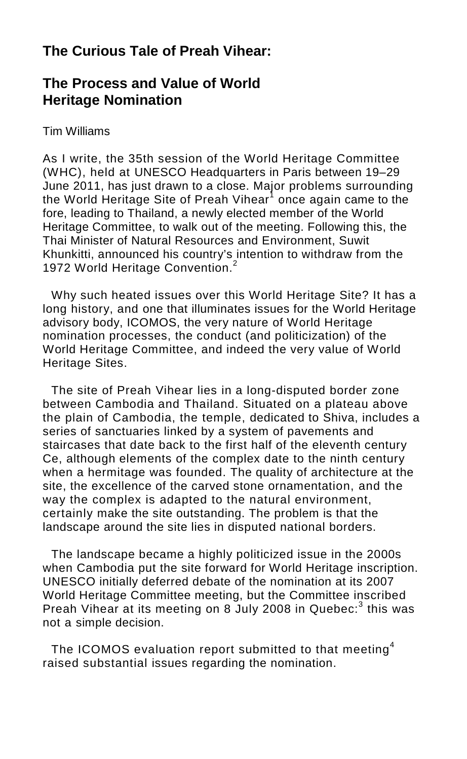## **The Curious Tale of Preah Vihear:**

## **The Process and Value of World Heritage Nomination**

## Tim Williams

As I write, the 35th session of the World Heritage Committee (WHC), held at UNESCO Headquarters in Paris between 19–29 June 2011, has just drawn to a close. Major problems surrounding the World Heritage Site of Preah Vihear<sup>1</sup> once again came to the fore, leading to Thailand, a newly elected member of the World Heritage Committee, to walk out of the meeting. Following this, the Thai Minister of Natural Resources and Environment, Suwit Khunkitti, announced his country's intention to withdraw from the 1972 World Heritage Convention.<sup>2</sup>

Why such heated issues over this World Heritage Site? It has a long history, and one that illuminates issues for the World Heritage advisory body, ICOMOS, the very nature of World Heritage nomination processes, the conduct (and politicization) of the World Heritage Committee, and indeed the very value of World Heritage Sites.

The site of Preah Vihear lies in a long-disputed border zone between Cambodia and Thailand. Situated on a plateau above the plain of Cambodia, the temple, dedicated to Shiva, includes a series of sanctuaries linked by a system of pavements and staircases that date back to the first half of the eleventh century Ce, although elements of the complex date to the ninth century when a hermitage was founded. The quality of architecture at the site, the excellence of the carved stone ornamentation, and the way the complex is adapted to the natural environment, certainly make the site outstanding. The problem is that the landscape around the site lies in disputed national borders.

The landscape became a highly politicized issue in the 2000s when Cambodia put the site forward for World Heritage inscription. UNESCO initially deferred debate of the nomination at its 2007 World Heritage Committee meeting, but the Committee inscribed Preah Vihear at its meeting on 8 July 2008 in Quebec:<sup>3</sup> this was not a simple decision.

The ICOMOS evaluation report submitted to that meeting<sup>4</sup> raised substantial issues regarding the nomination.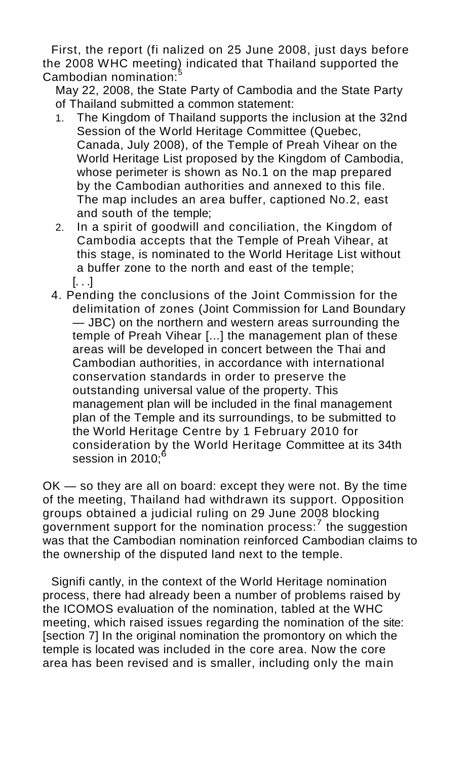First, the report (fi nalized on 25 June 2008, just days before the 2008 WHC meeting) indicated that Thailand supported the Cambodian nomination:<sup>5</sup>

May 22, 2008, the State Party of Cambodia and the State Party of Thailand submitted a common statement:

- 1. The Kingdom of Thailand supports the inclusion at the 32nd Session of the World Heritage Committee (Quebec, Canada, July 2008), of the Temple of Preah Vihear on the World Heritage List proposed by the Kingdom of Cambodia, whose perimeter is shown as No.1 on the map prepared by the Cambodian authorities and annexed to this file. The map includes an area buffer, captioned No.2, east and south of the temple;
- 2. In a spirit of goodwill and conciliation, the Kingdom of Cambodia accepts that the Temple of Preah Vihear, at this stage, is nominated to the World Heritage List without a buffer zone to the north and east of the temple; [. . .]
- 4. Pending the conclusions of the Joint Commission for the delimitation of zones (Joint Commission for Land Boundary — JBC) on the northern and western areas surrounding the temple of Preah Vihear [...] the management plan of these areas will be developed in concert between the Thai and Cambodian authorities, in accordance with international conservation standards in order to preserve the outstanding universal value of the property. This management plan will be included in the final management plan of the Temple and its surroundings, to be submitted to the World Heritage Centre by 1 February 2010 for consideration by the World Heritage Committee at its 34th session in 2010:<sup>6</sup>

OK — so they are all on board: except they were not. By the time of the meeting, Thailand had withdrawn its support. Opposition groups obtained a judicial ruling on 29 June 2008 blocking government support for the nomination process:<sup>7</sup> the suggestion was that the Cambodian nomination reinforced Cambodian claims to the ownership of the disputed land next to the temple.

Signifi cantly, in the context of the World Heritage nomination process, there had already been a number of problems raised by the ICOMOS evaluation of the nomination, tabled at the WHC meeting, which raised issues regarding the nomination of the site: [section 7] In the original nomination the promontory on which the temple is located was included in the core area. Now the core area has been revised and is smaller, including only the main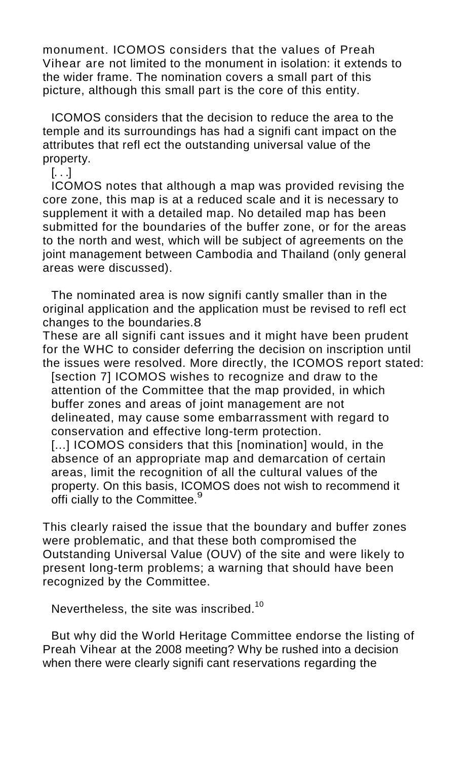monument. ICOMOS considers that the values of Preah Vihear are not limited to the monument in isolation: it extends to the wider frame. The nomination covers a small part of this picture, although this small part is the core of this entity.

ICOMOS considers that the decision to reduce the area to the temple and its surroundings has had a signifi cant impact on the attributes that refl ect the outstanding universal value of the property.

 $[. \, . \, .]$ 

ICOMOS notes that although a map was provided revising the core zone, this map is at a reduced scale and it is necessary to supplement it with a detailed map. No detailed map has been submitted for the boundaries of the buffer zone, or for the areas to the north and west, which will be subject of agreements on the joint management between Cambodia and Thailand (only general areas were discussed).

The nominated area is now signifi cantly smaller than in the original application and the application must be revised to refl ect changes to the boundaries.8

These are all signifi cant issues and it might have been prudent for the WHC to consider deferring the decision on inscription until the issues were resolved. More directly, the ICOMOS report stated:

[section 7] ICOMOS wishes to recognize and draw to the attention of the Committee that the map provided, in which buffer zones and areas of joint management are not delineated, may cause some embarrassment with regard to conservation and effective long-term protection.

[...] ICOMOS considers that this [nomination] would, in the absence of an appropriate map and demarcation of certain areas, limit the recognition of all the cultural values of the property. On this basis, ICOMOS does not wish to recommend it offi cially to the Committee.<sup>9</sup>

This clearly raised the issue that the boundary and buffer zones were problematic, and that these both compromised the Outstanding Universal Value (OUV) of the site and were likely to present long-term problems; a warning that should have been recognized by the Committee.

Nevertheless, the site was inscribed.<sup>10</sup>

But why did the World Heritage Committee endorse the listing of Preah Vihear at the 2008 meeting? Why be rushed into a decision when there were clearly signifi cant reservations regarding the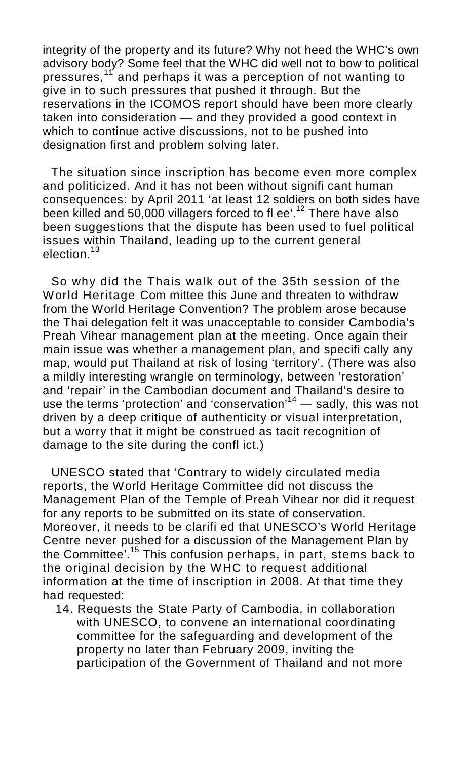integrity of the property and its future? Why not heed the WHC's own advisory body? Some feel that the WHC did well not to bow to political pressures,<sup>11</sup> and perhaps it was a perception of not wanting to give in to such pressures that pushed it through. But the reservations in the ICOMOS report should have been more clearly taken into consideration — and they provided a good context in which to continue active discussions, not to be pushed into designation first and problem solving later.

The situation since inscription has become even more complex and politicized. And it has not been without signifi cant human consequences: by April 2011 'at least 12 soldiers on both sides have been killed and  $50,000$  villagers forced to fl ee'.<sup>12</sup> There have also been suggestions that the dispute has been used to fuel political issues within Thailand, leading up to the current general election $13$ 

So why did the Thais walk out of the 35th session of the World Heritage Com mittee this June and threaten to withdraw from the World Heritage Convention? The problem arose because the Thai delegation felt it was unacceptable to consider Cambodia's Preah Vihear management plan at the meeting. Once again their main issue was whether a management plan, and specifi cally any map, would put Thailand at risk of losing 'territory'. (There was also a mildly interesting wrangle on terminology, between 'restoration' and 'repair' in the Cambodian document and Thailand's desire to use the terms 'protection' and 'conservation'<sup>14</sup> — sadly, this was not driven by a deep critique of authenticity or visual interpretation, but a worry that it might be construed as tacit recognition of damage to the site during the confl ict.)

UNESCO stated that 'Contrary to widely circulated media reports, the World Heritage Committee did not discuss the Management Plan of the Temple of Preah Vihear nor did it request for any reports to be submitted on its state of conservation. Moreover, it needs to be clarifi ed that UNESCO's World Heritage Centre never pushed for a discussion of the Management Plan by the Committee'.<sup>15</sup> This confusion perhaps, in part, stems back to the original decision by the WHC to request additional information at the time of inscription in 2008. At that time they had requested:

14. Requests the State Party of Cambodia, in collaboration with UNESCO, to convene an international coordinating committee for the safeguarding and development of the property no later than February 2009, inviting the participation of the Government of Thailand and not more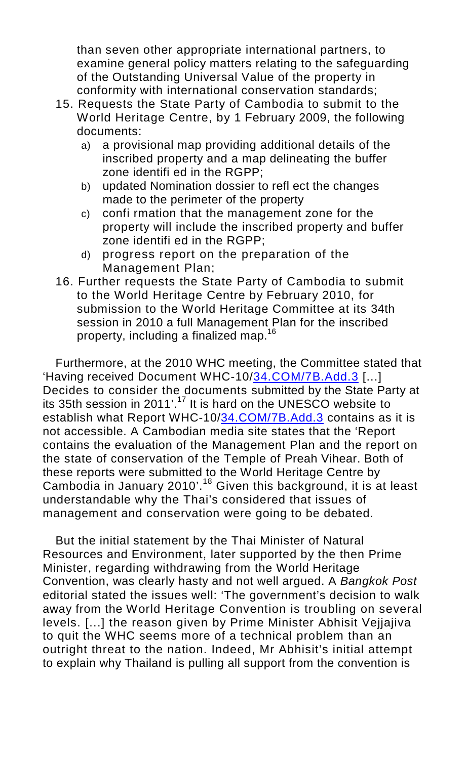than seven other appropriate international partners, to examine general policy matters relating to the safeguarding of the Outstanding Universal Value of the property in conformity with international conservation standards;

- 15. Requests the State Party of Cambodia to submit to the World Heritage Centre, by 1 February 2009, the following documents:
	- a) a provisional map providing additional details of the inscribed property and a map delineating the buffer zone identifi ed in the RGPP;
	- b) updated Nomination dossier to refl ect the changes made to the perimeter of the property
	- c) confi rmation that the management zone for the property will include the inscribed property and buffer zone identifi ed in the RGPP;
	- d) progress report on the preparation of the Management Plan;
- 16. Further requests the State Party of Cambodia to submit to the World Heritage Centre by February 2010, for submission to the World Heritage Committee at its 34th session in 2010 a full Management Plan for the inscribed property, including a finalized map.<sup>16</sup>

Furthermore, at the 2010 WHC meeting, the Committee stated that 'Having received Document WHC-10[/34.COM/7B.Add.3](http://34.COM/7B.Add.3) [...] Decides to consider the documents submitted by the State Party at its 35th session in 2011'.<sup>17</sup> It is hard on the UNESCO website to establish what Report WHC-10/[34.COM/7B.Add.3](http://34.COM/7B.Add.3) contains as it is not accessible. A Cambodian media site states that the 'Report contains the evaluation of the Management Plan and the report on the state of conservation of the Temple of Preah Vihear. Both of these reports were submitted to the World Heritage Centre by Cambodia in January 2010'.<sup>18</sup> Given this background, it is at least understandable why the Thai's considered that issues of management and conservation were going to be debated.

But the initial statement by the Thai Minister of Natural Resources and Environment, later supported by the then Prime Minister, regarding withdrawing from the World Heritage Convention, was clearly hasty and not well argued. A *Bangkok Post* editorial stated the issues well: 'The government's decision to walk away from the World Heritage Convention is troubling on several levels. [...] the reason given by Prime Minister Abhisit Vejjajiva to quit the WHC seems more of a technical problem than an outright threat to the nation. Indeed, Mr Abhisit's initial attempt to explain why Thailand is pulling all support from the convention is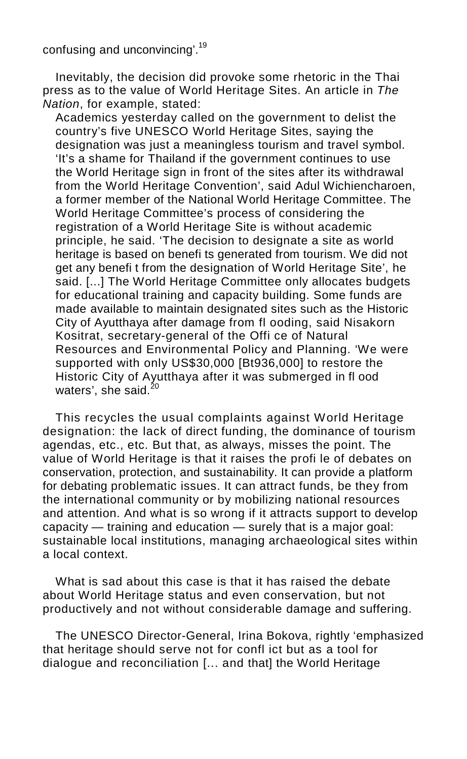confusing and unconvincing'.<sup>19</sup>

Inevitably, the decision did provoke some rhetoric in the Thai press as to the value of World Heritage Sites. An article in *The Nation*, for example, stated:

Academics yesterday called on the government to delist the country's five UNESCO World Heritage Sites, saying the designation was just a meaningless tourism and travel symbol. 'It's a shame for Thailand if the government continues to use the World Heritage sign in front of the sites after its withdrawal from the World Heritage Convention', said Adul Wichiencharoen, a former member of the National World Heritage Committee. The World Heritage Committee's process of considering the registration of a World Heritage Site is without academic principle, he said. 'The decision to designate a site as world heritage is based on benefi ts generated from tourism. We did not get any benefi t from the designation of World Heritage Site', he said. [...] The World Heritage Committee only allocates budgets for educational training and capacity building. Some funds are made available to maintain designated sites such as the Historic City of Ayutthaya after damage from fl ooding, said Nisakorn Kositrat, secretary-general of the Offi ce of Natural Resources and Environmental Policy and Planning. 'We were supported with only US\$30,000 [Bt936,000] to restore the Historic City of Ayutthaya after it was submerged in fl ood waters', she said.

This recycles the usual complaints against World Heritage designation: the lack of direct funding, the dominance of tourism agendas, etc., etc. But that, as always, misses the point. The value of World Heritage is that it raises the profi le of debates on conservation, protection, and sustainability. It can provide a platform for debating problematic issues. It can attract funds, be they from the international community or by mobilizing national resources and attention. And what is so wrong if it attracts support to develop capacity — training and education — surely that is a major goal: sustainable local institutions, managing archaeological sites within a local context.

What is sad about this case is that it has raised the debate about World Heritage status and even conservation, but not productively and not without considerable damage and suffering.

The UNESCO Director-General, Irina Bokova, rightly 'emphasized that heritage should serve not for confl ict but as a tool for dialogue and reconciliation [... and that] the World Heritage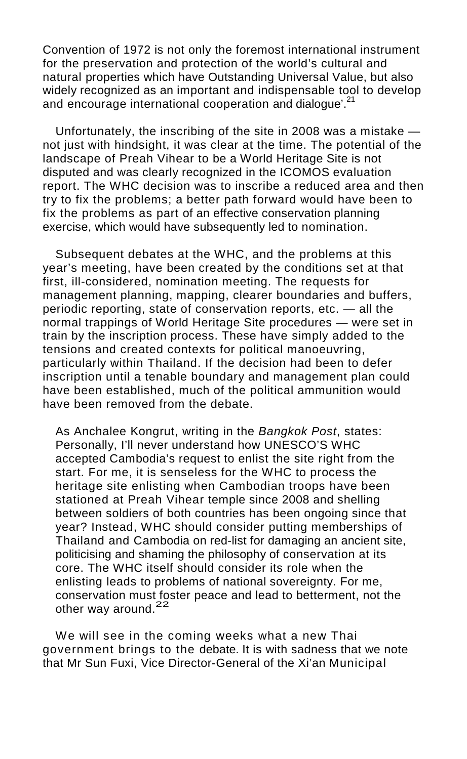Convention of 1972 is not only the foremost international instrument for the preservation and protection of the world's cultural and natural properties which have Outstanding Universal Value, but also widely recognized as an important and indispensable tool to develop and encourage international cooperation and dialogue'.<sup>21</sup>

Unfortunately, the inscribing of the site in 2008 was a mistake not just with hindsight, it was clear at the time. The potential of the landscape of Preah Vihear to be a World Heritage Site is not disputed and was clearly recognized in the ICOMOS evaluation report. The WHC decision was to inscribe a reduced area and then try to fix the problems; a better path forward would have been to fix the problems as part of an effective conservation planning exercise, which would have subsequently led to nomination.

Subsequent debates at the WHC, and the problems at this year's meeting, have been created by the conditions set at that first, ill-considered, nomination meeting. The requests for management planning, mapping, clearer boundaries and buffers, periodic reporting, state of conservation reports, etc. — all the normal trappings of World Heritage Site procedures — were set in train by the inscription process. These have simply added to the tensions and created contexts for political manoeuvring, particularly within Thailand. If the decision had been to defer inscription until a tenable boundary and management plan could have been established, much of the political ammunition would have been removed from the debate.

As Anchalee Kongrut, writing in the *Bangkok Post*, states: Personally, I'll never understand how UNESCO'S WHC accepted Cambodia's request to enlist the site right from the start. For me, it is senseless for the WHC to process the heritage site enlisting when Cambodian troops have been stationed at Preah Vihear temple since 2008 and shelling between soldiers of both countries has been ongoing since that year? Instead, WHC should consider putting memberships of Thailand and Cambodia on red-list for damaging an ancient site, politicising and shaming the philosophy of conservation at its core. The WHC itself should consider its role when the enlisting leads to problems of national sovereignty. For me, conservation must foster peace and lead to betterment, not the other way around.<sup>22</sup>

We will see in the coming weeks what a new Thai government brings to the debate. It is with sadness that we note that Mr Sun Fuxi, Vice Director-General of the Xi'an Municipal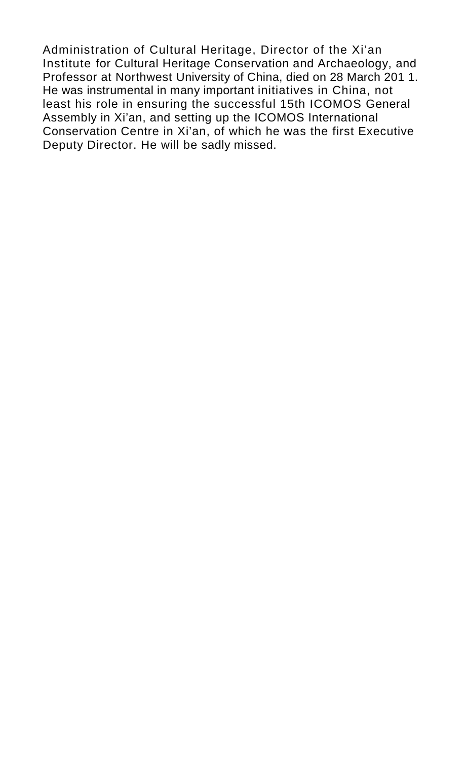Administration of Cultural Heritage, Director of the Xi'an Institute for Cultural Heritage Conservation and Archaeology, and Professor at Northwest University of China, died on 28 March 201 1. He was instrumental in many important initiatives in China, not least his role in ensuring the successful 15th ICOMOS General Assembly in Xi'an, and setting up the ICOMOS International Conservation Centre in Xi'an, of which he was the first Executive Deputy Director. He will be sadly missed.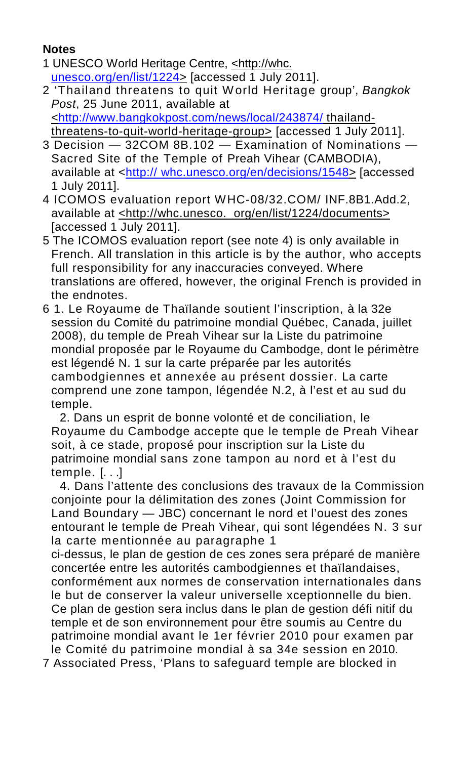## **Notes**

- 1 UNESCO World Heritage Centre, <http://whc. [unesco.org/en/list/1224](http://unesco.org/en/list/1224)> [accessed 1 July 2011].
- 2 'Thailand threatens to quit W orld Heritage group', *Bangkok Post*, 25 June 2011, available at [<http://www.bangkokpost.com/news/local/243874/](http://www.bangkokpost.com/news/local/243874/) thailandthreatens-to-quit-world-heritage-group> [accessed 1 July 2011].
- 3 Decision 32COM 8B.102 Examination of Nominations Sacred Site of the Temple of Preah Vihear (CAMBODIA), available at <http:// [whc.unesco.org/en/decisions/1548](http://whc.unesco.org/en/decisions/1548)> [accessed 1 July 2011].
- 4 ICOMOS evaluation report WHC-08/32.COM/ INF.8B1.Add.2, available at <http://whc.unesco. org/en/list/1224/documents> [accessed 1 July 2011].
- 5 The ICOMOS evaluation report (see note 4) is only available in French. All translation in this article is by the author, who accepts full responsibility for any inaccuracies conveyed. Where translations are offered, however, the original French is provided in the endnotes.
- 6 1. Le Royaume de Thaïlande soutient l'inscription, à la 32e session du Comité du patrimoine mondial Québec, Canada, juillet 2008), du temple de Preah Vihear sur la Liste du patrimoine mondial proposée par le Royaume du Cambodge, dont le périmètre est légendé N. 1 sur la carte préparée par les autorités cambodgiennes et annexée au présent dossier. La carte comprend une zone tampon, légendée N.2, à l'est et au sud du temple.

2. Dans un esprit de bonne volonté et de conciliation, le Royaume du Cambodge accepte que le temple de Preah Vihear soit, à ce stade, proposé pour inscription sur la Liste du patrimoine mondial sans zone tampon au nord et à l'est du temple. [. . .]

4. Dans l'attente des conclusions des travaux de la Commission conjointe pour la délimitation des zones (Joint Commission for Land Boundary — JBC) concernant le nord et l'ouest des zones entourant le temple de Preah Vihear, qui sont légendées N. 3 sur la carte mentionnée au paragraphe 1

ci-dessus, le plan de gestion de ces zones sera préparé de manière concertée entre les autorités cambodgiennes et thaïlandaises, conformément aux normes de conservation internationales dans le but de conserver la valeur universelle xceptionnelle du bien. Ce plan de gestion sera inclus dans le plan de gestion défi nitif du temple et de son environnement pour être soumis au Centre du patrimoine mondial avant le 1er février 2010 pour examen par le Comité du patrimoine mondial à sa 34e session en 2010.

7 Associated Press, 'Plans to safeguard temple are blocked in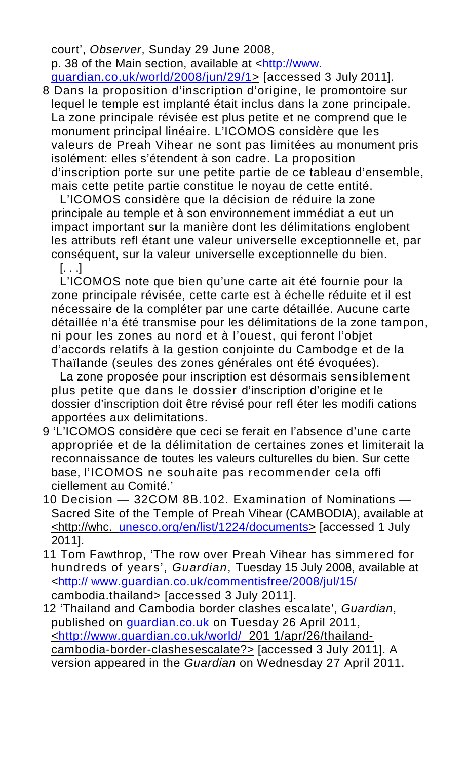court', *Observer*, Sunday 29 June 2008, p. 38 of the Main section, available at <[http://www.](http://www.guardian.co.uk/world/2008/jun/29/1)

[guardian.co.uk/world/2008/jun/29/1](http://www.guardian.co.uk/world/2008/jun/29/1)> [accessed 3 July 2011]. 8 Dans la proposition d'inscription d'origine, le promontoire sur lequel le temple est implanté était inclus dans la zone principale. La zone principale révisée est plus petite et ne comprend que le monument principal linéaire. L'ICOMOS considère que les valeurs de Preah Vihear ne sont pas limitées au monument pris isolément: elles s'étendent à son cadre. La proposition d'inscription porte sur une petite partie de ce tableau d'ensemble, mais cette petite partie constitue le noyau de cette entité.

L'ICOMOS considère que la décision de réduire la zone principale au temple et à son environnement immédiat a eut un impact important sur la manière dont les délimitations englobent les attributs refl étant une valeur universelle exceptionnelle et, par conséquent, sur la valeur universelle exceptionnelle du bien.

[. . .]

L'ICOMOS note que bien qu'une carte ait été fournie pour la zone principale révisée, cette carte est à échelle réduite et il est nécessaire de la compléter par une carte détaillée. Aucune carte détaillée n'a été transmise pour les délimitations de la zone tampon, ni pour les zones au nord et à l'ouest, qui feront l'objet d'accords relatifs à la gestion conjointe du Cambodge et de la Thaïlande (seules des zones générales ont été évoquées).

La zone proposée pour inscription est désormais sensiblement plus petite que dans le dossier d'inscription d'origine et le dossier d'inscription doit être révisé pour refl éter les modifi cations apportées aux delimitations.

- 9 'L'ICOMOS considère que ceci se ferait en l'absence d'une carte appropriée et de la délimitation de certaines zones et limiterait la reconnaissance de toutes les valeurs culturelles du bien. Sur cette base, l'ICOMOS ne souhaite pas recommender cela offi ciellement au Comité.'
- 10 Decision 32COM 8B.102. Examination of Nominations Sacred Site of the Temple of Preah Vihear (CAMBODIA), available at <http://whc. [unesco.org/en/list/1224/documents](http://unesco.org/en/list/1224/documents)> [accessed 1 July 2011].
- 11 Tom Fawthrop, 'The row over Preah Vihear has simmered for hundreds of years', *Guardian*, Tuesday 15 July 2008, available at <http:// [www.guardian.co.uk/commentisfree/2008/jul/15/](http://www.guardian.co.uk/commentisfree/2008/jul/15/) cambodia.thailand> [accessed 3 July 2011].
- 12 'Thailand and Cambodia border clashes escalate', *Guardian*, published on [guardian.co.uk](http://guardian.co.uk) on Tuesday 26 April 2011, [<http://www.guardian.co.uk/world/](http://www.guardian.co.uk/world/) 201 1/apr/26/thailandcambodia-border-clashesescalate?> [accessed 3 July 2011]. A version appeared in the *Guardian* on Wednesday 27 April 2011.